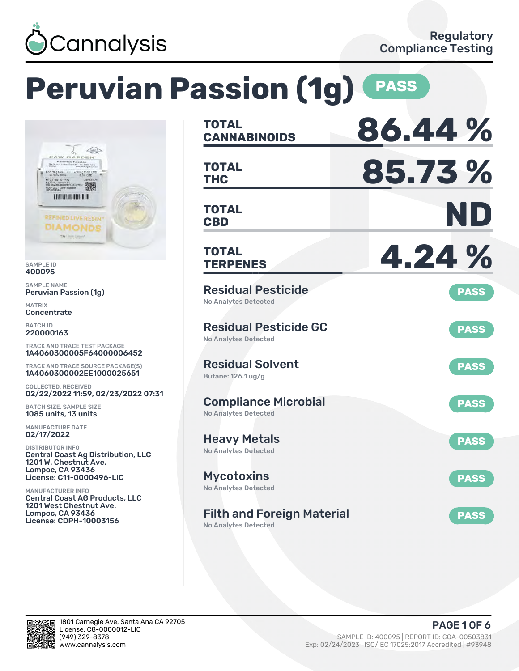

RAW GARDEN vian Paasien<br><br/>e Resis= Diamonds<br><br/>  $% \mathcal{L}_{\mathcal{A}}$  <br/> Resis 22.2mg total THC -2.0mg total CBD<br>93.53% THCa -2.0% CBD

twitter tires

LLC - COF **TOO HILLER BEEFE** 

撇

### **Peruvian Passion (1g) PASS CANNABINOIDS 86.44 % TOTAL** 不会 **THC 85.73 % TOTAL CBD ND TOTAL REFINED LIVE RESIN<sup>®</sup> DIAMONDS TERPENES 4.24 % TOTAL** Residual Pesticide Peruvian Passion (1g) **PASS** No Analytes Detected Residual Pesticide GC **PASS** No Analytes Detected TRACK AND TRACE TEST PACKAGE 1A4060300005F64000006452 Residual Solvent TRACK AND TRACE SOURCE PACKAGE(S) **PASS** 1A4060300002EE1000025651 Butane: 126.1 ug/g 02/22/2022 11:59, 02/23/2022 07:31 Compliance Microbial **PASS** BATCH SIZE, SAMPLE SIZE No Analytes Detected Heavy Metals **PASS** No Analytes Detected Central Coast Ag Distribution, LLC 1201 W. Chestnut Ave. License: C11-0000496-LIC Mycotoxins **PASS** No Analytes Detected Central Coast AG Products, LLC 1201 West Chestnut Ave. Filth and Foreign Material **PASS** License: CDPH-10003156 No Analytes Detected

SAMPLE ID 400095 SAMPLE NAME

MATRIX **Concentrate** BATCH ID 220000163

COLLECTED, RECEIVED

1085 units, 13 units MANUFACTURE DATE 02/17/2022 DISTRIBUTOR INFO

Lompoc, CA 93436

MANUFACTURER INFO

Lompoc, CA 93436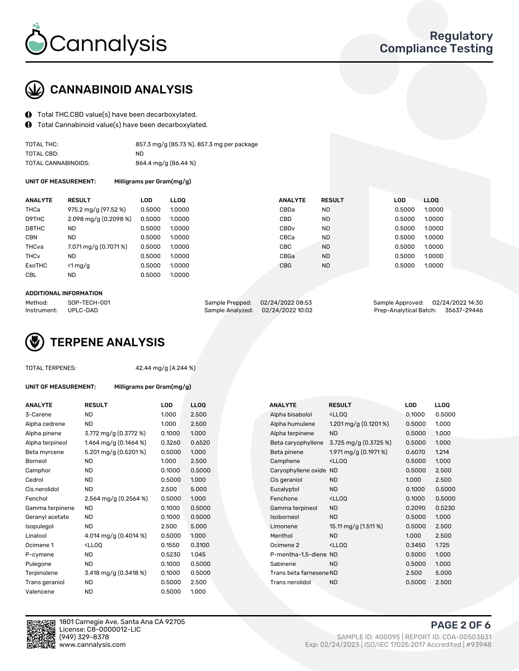

# CANNABINOID ANALYSIS

- Total THC,CBD value(s) have been decarboxylated.
- $\mathbf 0$ Total Cannabinoid value(s) have been decarboxylated.

| TOTAL THC:          | 857.3 mg/g (85.73 %), 857.3 mg per package |
|---------------------|--------------------------------------------|
| TOTAL CBD:          | ND.                                        |
| TOTAL CANNABINOIDS: | 864.4 mg/g (86.44 %)                       |

UNIT OF MEASUREMENT: Milligrams per Gram(mg/g)

| <b>ANALYTE</b>         | <b>RESULT</b>           | LOD.   | <b>LLOO</b> | <b>ANALYTE</b>   | <b>RESULT</b> | <b>LOD</b> | LL <sub>00</sub> |  |
|------------------------|-------------------------|--------|-------------|------------------|---------------|------------|------------------|--|
| THCa                   | 975.2 mg/g (97.52 %)    | 0.5000 | 1.0000      | CBDa             | <b>ND</b>     | 0.5000     | 1.0000           |  |
| D9THC                  | $2.098$ mg/g (0.2098 %) | 0.5000 | 1.0000      | CBD              | <b>ND</b>     | 0.5000     | 1.0000           |  |
| D8THC                  | <b>ND</b>               | 0.5000 | 1.0000      | CBD <sub>v</sub> | <b>ND</b>     | 0.5000     | 1.0000           |  |
| <b>CBN</b>             | <b>ND</b>               | 0.5000 | 1.0000      | CBCa             | <b>ND</b>     | 0.5000     | 1.0000           |  |
| THCva                  | 7.071 mg/g (0.7071 %)   | 0.5000 | 1.0000      | CBC              | <b>ND</b>     | 0.5000     | 1.0000           |  |
| <b>THC<sub>v</sub></b> | ND                      | 0.5000 | 1.0000      | CBGa             | <b>ND</b>     | 0.5000     | 1.0000           |  |
| ExoTHC                 | $\leq 1$ mg/g           | 0.5000 | 1.0000      | <b>CBG</b>       | <b>ND</b>     | 0.5000     | 1.0000           |  |
| <b>CBL</b>             | ND                      | 0.5000 | 1.0000      |                  |               |            |                  |  |
|                        |                         |        |             |                  |               |            |                  |  |

#### ADDITIONAL INFORMATION

| Method:              | SOP-TECH-001 | Sample Prepped: 02/24/2022 08:53  | Sample Approved: 02/24/2022 14:30  |  |
|----------------------|--------------|-----------------------------------|------------------------------------|--|
| Instrument: UPLC-DAD |              | Sample Analyzed: 02/24/2022 10:02 | Prep-Analytical Batch: 35637-29446 |  |

# TERPENE ANALYSIS

|  | <b>TOTAL TERPENES:</b> |
|--|------------------------|
|--|------------------------|

42.44 mg/g (4.244 %)

UNIT OF MEASUREMENT: Milligrams per Gram(mg/g)

| <b>ANALYTE</b>  | <b>RESULT</b>                                                                                                                    | LOD    | <b>LLOO</b> | <b>ANALYTE</b>          | <b>RESULT</b>                                      | LOD    | <b>LLOQ</b> |
|-----------------|----------------------------------------------------------------------------------------------------------------------------------|--------|-------------|-------------------------|----------------------------------------------------|--------|-------------|
| 3-Carene        | <b>ND</b>                                                                                                                        | 1.000  | 2.500       | Alpha bisabolol         | <ll0q< td=""><td>0.1000</td><td>0.500</td></ll0q<> | 0.1000 | 0.500       |
| Alpha cedrene   | <b>ND</b>                                                                                                                        | 1.000  | 2.500       | Alpha humulene          | 1.201 mg/g $(0.1201\%)$                            | 0.5000 | 1.000       |
| Alpha pinene    | 3.772 mg/g (0.3772 %)                                                                                                            | 0.1000 | 1.000       | Alpha terpinene         | <b>ND</b>                                          | 0.5000 | 1.000       |
| Alpha terpineol | 1.464 mg/g (0.1464 %)                                                                                                            | 0.3260 | 0.6520      | Beta caryophyllene      | 3.725 mg/g $(0.3725\%)$                            | 0.5000 | 1.000       |
| Beta myrcene    | 5.201 mg/g (0.5201%)                                                                                                             | 0.5000 | 1.000       | Beta pinene             | 1.971 mg/g $(0.1971\%)$                            | 0.6070 | 1.214       |
| <b>Borneol</b>  | ND.                                                                                                                              | 1.000  | 2.500       | Camphene                | <lloq< td=""><td>0.5000</td><td>1.000</td></lloq<> | 0.5000 | 1.000       |
| Camphor         | ND.                                                                                                                              | 0.1000 | 0.5000      | Caryophyllene oxide ND  |                                                    | 0.5000 | 2.500       |
| Cedrol          | ND.                                                                                                                              | 0.5000 | 1.000       | Cis geraniol            | <b>ND</b>                                          | 1.000  | 2.500       |
| Cis nerolidol   | <b>ND</b>                                                                                                                        | 2.500  | 5.000       | Eucalyptol              | <b>ND</b>                                          | 0.1000 | 0.500       |
| Fenchol         | 2.564 mg/g $(0.2564\%)$                                                                                                          | 0.5000 | 1.000       | Fenchone                | <ll0q< td=""><td>0.1000</td><td>0.500</td></ll0q<> | 0.1000 | 0.500       |
| Gamma terpinene | ND.                                                                                                                              | 0.1000 | 0.5000      | Gamma terpineol         | <b>ND</b>                                          | 0.2090 | 0.523       |
| Geranyl acetate | <b>ND</b>                                                                                                                        | 0.1000 | 0.5000      | Isoborneol              | <b>ND</b>                                          | 0.5000 | 1.000       |
| Isopulegol      | <b>ND</b>                                                                                                                        | 2.500  | 5.000       | Limonene                | 15.11 mg/g (1.511 %)                               | 0.5000 | 2.500       |
| Linalool        | 4.014 mg/g $(0.4014\%)$                                                                                                          | 0.5000 | 1.000       | Menthol                 | <b>ND</b>                                          | 1.000  | 2.500       |
| Ocimene 1       | <lloq< td=""><td>0.1550</td><td>0.3100</td><td>Ocimene 2</td><td><ll0q< td=""><td>0.3450</td><td>1.725</td></ll0q<></td></lloq<> | 0.1550 | 0.3100      | Ocimene 2               | <ll0q< td=""><td>0.3450</td><td>1.725</td></ll0q<> | 0.3450 | 1.725       |
| P-cymene        | <b>ND</b>                                                                                                                        | 0.5230 | 1.045       | P-mentha-1,5-diene ND   |                                                    | 0.5000 | 1.000       |
| Pulegone        | <b>ND</b>                                                                                                                        | 0.1000 | 0.5000      | Sabinene                | <b>ND</b>                                          | 0.5000 | 1.000       |
| Terpinolene     | 3.418 mg/g (0.3418 %)                                                                                                            | 0.1000 | 0.5000      | Trans beta farnesene ND |                                                    | 2.500  | 5.000       |
| Trans geraniol  | ND                                                                                                                               | 0.5000 | 2.500       | Trans nerolidol         | <b>ND</b>                                          | 0.5000 | 2.500       |
| Valencene       | <b>ND</b>                                                                                                                        | 0.5000 | 1.000       |                         |                                                    |        |             |

| ANALYTE         | RESULT                                                                                                                                    | LOD    | <b>LLOQ</b> |  | <b>ANALYTE</b>          | RESULT                                              | <b>LUD</b> | <b>LLOQ</b> |
|-----------------|-------------------------------------------------------------------------------------------------------------------------------------------|--------|-------------|--|-------------------------|-----------------------------------------------------|------------|-------------|
| 3-Carene        | <b>ND</b>                                                                                                                                 | 1.000  | 2.500       |  | Alpha bisabolol         | <ll0q< td=""><td>0.1000</td><td>0.5000</td></ll0q<> | 0.1000     | 0.5000      |
| Alpha cedrene   | <b>ND</b>                                                                                                                                 | 1.000  | 2.500       |  | Alpha humulene          | 1.201 mg/g $(0.1201\%)$                             | 0.5000     | 1.000       |
| Alpha pinene    | 3.772 mg/g (0.3772 %)                                                                                                                     | 0.1000 | 1.000       |  | Alpha terpinene         | <b>ND</b>                                           | 0.5000     | 1.000       |
| Alpha terpineol | 1.464 mg/g (0.1464 %)                                                                                                                     | 0.3260 | 0.6520      |  | Beta caryophyllene      | 3.725 mg/g $(0.3725\%)$                             | 0.5000     | 1.000       |
| Beta myrcene    | 5.201 mg/g (0.5201%)                                                                                                                      | 0.5000 | 1.000       |  | Beta pinene             | 1.971 mg/g $(0.1971\%)$                             | 0.6070     | 1.214       |
| Borneol         | <b>ND</b>                                                                                                                                 | 1.000  | 2.500       |  | Camphene                | <ll0q< td=""><td>0.5000</td><td>1.000</td></ll0q<>  | 0.5000     | 1.000       |
| Camphor         | <b>ND</b>                                                                                                                                 | 0.1000 | 0.5000      |  | Caryophyllene oxide     | ND                                                  | 0.5000     | 2.500       |
| Cedrol          | <b>ND</b>                                                                                                                                 | 0.5000 | 1.000       |  | Cis geraniol            | <b>ND</b>                                           | 1.000      | 2.500       |
| Cis nerolidol   | <b>ND</b>                                                                                                                                 | 2.500  | 5.000       |  | Eucalyptol              | <b>ND</b>                                           | 0.1000     | 0.5000      |
| Fenchol         | $2.564$ mg/g (0.2564 %)                                                                                                                   | 0.5000 | 1.000       |  | Fenchone                | <lloq< td=""><td>0.1000</td><td>0.5000</td></lloq<> | 0.1000     | 0.5000      |
| Gamma terpinene | ND.                                                                                                                                       | 0.1000 | 0.5000      |  | Gamma terpineol         | <b>ND</b>                                           | 0.2090     | 0.5230      |
| Geranyl acetate | ND.                                                                                                                                       | 0.1000 | 0.5000      |  | Isoborneol              | <b>ND</b>                                           | 0.5000     | 1.000       |
| Isopulegol      | <b>ND</b>                                                                                                                                 | 2.500  | 5.000       |  | Limonene                | 15.11 mg/g (1.511 %)                                | 0.5000     | 2.500       |
| Linalool        | 4.014 mg/g $(0.4014\%)$                                                                                                                   | 0.5000 | 1.000       |  | Menthol                 | <b>ND</b>                                           | 1.000      | 2.500       |
| Ocimene 1       | <lloq< td=""><td>0.1550</td><td>0.3100</td><td></td><td>Ocimene 2</td><td><ll0q< td=""><td>0.3450</td><td>1.725</td></ll0q<></td></lloq<> | 0.1550 | 0.3100      |  | Ocimene 2               | <ll0q< td=""><td>0.3450</td><td>1.725</td></ll0q<>  | 0.3450     | 1.725       |
| P-cymene        | <b>ND</b>                                                                                                                                 | 0.5230 | 1.045       |  | P-mentha-1,5-diene ND   |                                                     | 0.5000     | 1.000       |
| Pulegone        | <b>ND</b>                                                                                                                                 | 0.1000 | 0.5000      |  | Sabinene                | <b>ND</b>                                           | 0.5000     | 1.000       |
| Terpinolene     | 3.418 mg/g (0.3418 %)                                                                                                                     | 0.1000 | 0.5000      |  | Trans beta farnesene ND |                                                     | 2.500      | 5.000       |
| Trans geraniol  | <b>ND</b>                                                                                                                                 | 0.5000 | 2.500       |  | Trans nerolidol         | <b>ND</b>                                           | 0.5000     | 2.500       |
|                 |                                                                                                                                           |        |             |  |                         |                                                     |            |             |



1801 Carnegie Ave, Santa Ana CA 92705 License: C8-0000012-LIC<br>(949) 329-8378

PAGE 2 OF 6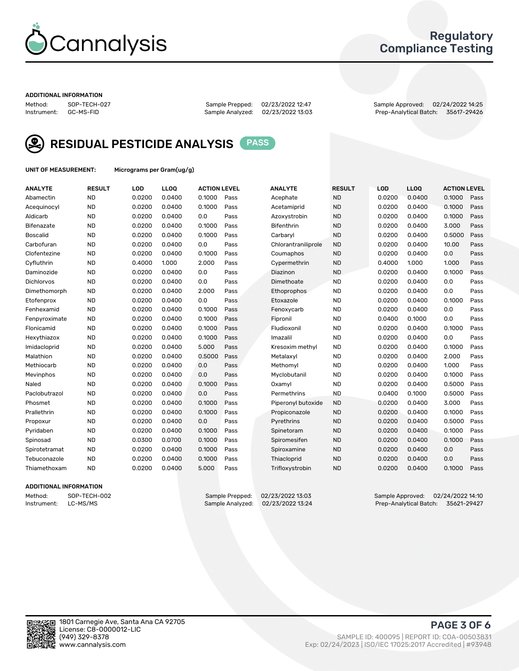

### Regulatory Compliance Testing

#### ADDITIONAL INFORMATION

Sample Analyzed: 02/23/2022 13:03

Method: SOP-TECH-027 Sample Prepped: 02/23/2022 12:47 Sample Approved: 02/24/2022 14:25



RESIDUAL PESTICIDE ANALYSIS PASS

UNIT OF MEASUREMENT: Micrograms per Gram(ug/g)

| <b>ANALYTE</b>  | <b>RESULT</b> | LOD    | LLOQ   | <b>ACTION LEVEL</b> |      | <b>ANALYTE</b>      | <b>RESULT</b> | LOD    | LLOQ   | <b>ACTION LEVEL</b> |      |
|-----------------|---------------|--------|--------|---------------------|------|---------------------|---------------|--------|--------|---------------------|------|
| Abamectin       | <b>ND</b>     | 0.0200 | 0.0400 | 0.1000              | Pass | Acephate            | <b>ND</b>     | 0.0200 | 0.0400 | 0.1000              | Pass |
| Acequinocyl     | <b>ND</b>     | 0.0200 | 0.0400 | 0.1000              | Pass | Acetamiprid         | <b>ND</b>     | 0.0200 | 0.0400 | 0.1000              | Pass |
| Aldicarb        | <b>ND</b>     | 0.0200 | 0.0400 | 0.0                 | Pass | Azoxystrobin        | <b>ND</b>     | 0.0200 | 0.0400 | 0.1000              | Pass |
| Bifenazate      | <b>ND</b>     | 0.0200 | 0.0400 | 0.1000              | Pass | <b>Bifenthrin</b>   | <b>ND</b>     | 0.0200 | 0.0400 | 3.000               | Pass |
| <b>Boscalid</b> | <b>ND</b>     | 0.0200 | 0.0400 | 0.1000              | Pass | Carbaryl            | <b>ND</b>     | 0.0200 | 0.0400 | 0.5000              | Pass |
| Carbofuran      | <b>ND</b>     | 0.0200 | 0.0400 | 0.0                 | Pass | Chlorantraniliprole | <b>ND</b>     | 0.0200 | 0.0400 | 10.00               | Pass |
| Clofentezine    | <b>ND</b>     | 0.0200 | 0.0400 | 0.1000              | Pass | Coumaphos           | <b>ND</b>     | 0.0200 | 0.0400 | 0.0                 | Pass |
| Cyfluthrin      | <b>ND</b>     | 0.4000 | 1.000  | 2.000               | Pass | Cypermethrin        | <b>ND</b>     | 0.4000 | 1.000  | 1.000               | Pass |
| Daminozide      | <b>ND</b>     | 0.0200 | 0.0400 | 0.0                 | Pass | Diazinon            | <b>ND</b>     | 0.0200 | 0.0400 | 0.1000              | Pass |
| Dichlorvos      | <b>ND</b>     | 0.0200 | 0.0400 | 0.0                 | Pass | Dimethoate          | <b>ND</b>     | 0.0200 | 0.0400 | 0.0                 | Pass |
| Dimethomorph    | <b>ND</b>     | 0.0200 | 0.0400 | 2.000               | Pass | <b>Ethoprophos</b>  | <b>ND</b>     | 0.0200 | 0.0400 | 0.0                 | Pass |
| Etofenprox      | <b>ND</b>     | 0.0200 | 0.0400 | 0.0                 | Pass | Etoxazole           | <b>ND</b>     | 0.0200 | 0.0400 | 0.1000              | Pass |
| Fenhexamid      | <b>ND</b>     | 0.0200 | 0.0400 | 0.1000              | Pass | Fenoxycarb          | <b>ND</b>     | 0.0200 | 0.0400 | 0.0                 | Pass |
| Fenpyroximate   | <b>ND</b>     | 0.0200 | 0.0400 | 0.1000              | Pass | Fipronil            | <b>ND</b>     | 0.0400 | 0.1000 | 0.0                 | Pass |
| Flonicamid      | <b>ND</b>     | 0.0200 | 0.0400 | 0.1000              | Pass | Fludioxonil         | <b>ND</b>     | 0.0200 | 0.0400 | 0.1000              | Pass |
| Hexythiazox     | <b>ND</b>     | 0.0200 | 0.0400 | 0.1000              | Pass | Imazalil            | <b>ND</b>     | 0.0200 | 0.0400 | 0.0                 | Pass |
| Imidacloprid    | <b>ND</b>     | 0.0200 | 0.0400 | 5.000               | Pass | Kresoxim methyl     | <b>ND</b>     | 0.0200 | 0.0400 | 0.1000              | Pass |
| Malathion       | <b>ND</b>     | 0.0200 | 0.0400 | 0.5000              | Pass | Metalaxyl           | <b>ND</b>     | 0.0200 | 0.0400 | 2.000               | Pass |
| Methiocarb      | <b>ND</b>     | 0.0200 | 0.0400 | 0.0                 | Pass | Methomyl            | <b>ND</b>     | 0.0200 | 0.0400 | 1.000               | Pass |
| Mevinphos       | <b>ND</b>     | 0.0200 | 0.0400 | 0.0                 | Pass | Myclobutanil        | <b>ND</b>     | 0.0200 | 0.0400 | 0.1000              | Pass |
| Naled           | <b>ND</b>     | 0.0200 | 0.0400 | 0.1000              | Pass | Oxamyl              | <b>ND</b>     | 0.0200 | 0.0400 | 0.5000              | Pass |
| Paclobutrazol   | <b>ND</b>     | 0.0200 | 0.0400 | 0.0                 | Pass | Permethrins         | <b>ND</b>     | 0.0400 | 0.1000 | 0.5000              | Pass |
| Phosmet         | <b>ND</b>     | 0.0200 | 0.0400 | 0.1000              | Pass | Piperonyl butoxide  | <b>ND</b>     | 0.0200 | 0.0400 | 3.000               | Pass |
| Prallethrin     | <b>ND</b>     | 0.0200 | 0.0400 | 0.1000              | Pass | Propiconazole       | <b>ND</b>     | 0.0200 | 0.0400 | 0.1000              | Pass |
| Propoxur        | <b>ND</b>     | 0.0200 | 0.0400 | 0.0                 | Pass | Pyrethrins          | <b>ND</b>     | 0.0200 | 0.0400 | 0.5000              | Pass |
| Pyridaben       | <b>ND</b>     | 0.0200 | 0.0400 | 0.1000              | Pass | Spinetoram          | <b>ND</b>     | 0.0200 | 0.0400 | 0.1000              | Pass |
| Spinosad        | <b>ND</b>     | 0.0300 | 0.0700 | 0.1000              | Pass | Spiromesifen        | <b>ND</b>     | 0.0200 | 0.0400 | 0.1000              | Pass |
| Spirotetramat   | <b>ND</b>     | 0.0200 | 0.0400 | 0.1000              | Pass | Spiroxamine         | <b>ND</b>     | 0.0200 | 0.0400 | 0.0                 | Pass |
| Tebuconazole    | <b>ND</b>     | 0.0200 | 0.0400 | 0.1000              | Pass | Thiacloprid         | <b>ND</b>     | 0.0200 | 0.0400 | 0.0                 | Pass |
| Thiamethoxam    | <b>ND</b>     | 0.0200 | 0.0400 | 5.000               | Pass | Trifloxystrobin     | <b>ND</b>     | 0.0200 | 0.0400 | 0.1000              | Pass |
|                 |               |        |        |                     |      |                     |               |        |        |                     |      |

#### ADDITIONAL INFORMATION

Method: SOP-TECH-002 Sample Prepped: 02/23/2022 13:03 Sample Approved: 02/24/2022 14:10<br>Instrument: LC-MS/MS Sample Analyzed: 02/23/2022 13:24 Prep-Analytical Batch: 35621-29427 Prep-Analytical Batch: 35621-29427

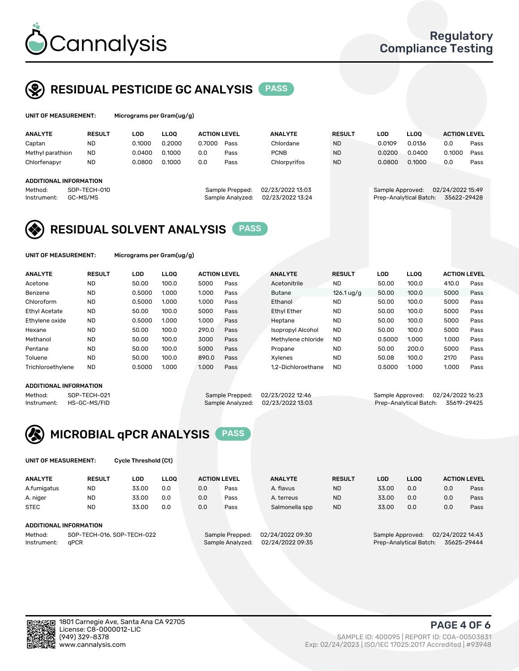

UNIT OF MEASUREMENT: Micrograms per Gram(ug/g)

## RESIDUAL PESTICIDE GC ANALYSIS PASS

| <b>ANALYTE</b>         | <b>RESULT</b>                 | LOD    | <b>LLOO</b> | <b>ACTION LEVEL</b> |                                     | <b>ANALYTE</b>                       | <b>RESULT</b> | LOD              | <b>LLOO</b>            | <b>ACTION LEVEL</b>             |      |
|------------------------|-------------------------------|--------|-------------|---------------------|-------------------------------------|--------------------------------------|---------------|------------------|------------------------|---------------------------------|------|
| Captan                 | <b>ND</b>                     | 0.1000 | 0.2000      | 0.7000              | Pass                                | Chlordane                            | <b>ND</b>     | 0.0109           | 0.0136                 | 0.0                             | Pass |
| Methyl parathion       | <b>ND</b>                     | 0.0400 | 0.1000      | 0.0                 | Pass                                | <b>PCNB</b>                          | <b>ND</b>     | 0.0200           | 0.0400                 | 0.1000                          | Pass |
| Chlorfenapyr           | <b>ND</b>                     | 0.0800 | 0.1000      | 0.0                 | Pass                                | Chlorpyrifos                         | <b>ND</b>     | 0.0800           | 0.1000                 | 0.0                             | Pass |
|                        | <b>ADDITIONAL INFORMATION</b> |        |             |                     |                                     |                                      |               |                  |                        |                                 |      |
| Method:<br>Instrument: | SOP-TECH-010<br>GC-MS/MS      |        |             |                     | Sample Prepped:<br>Sample Analyzed: | 02/23/2022 13:03<br>02/23/2022 13:24 |               | Sample Approved: | Prep-Analytical Batch: | 02/24/2022 15:49<br>35622-29428 |      |

### RESIDUAL SOLVENT ANALYSIS PASS

UNIT OF MEASUREMENT: Micrograms per Gram(ug/g)

| <b>ANALYTE</b>       | <b>RESULT</b> | <b>LOD</b> | <b>LLOO</b> | <b>ACTION LEVEL</b> |      | <b>ANALYTE</b>           | <b>RESULT</b> | LOD    | <b>LLOO</b> | <b>ACTION LEVEL</b> |      |
|----------------------|---------------|------------|-------------|---------------------|------|--------------------------|---------------|--------|-------------|---------------------|------|
| Acetone              | <b>ND</b>     | 50.00      | 100.0       | 5000                | Pass | Acetonitrile             | <b>ND</b>     | 50.00  | 100.0       | 410.0               | Pass |
| Benzene              | <b>ND</b>     | 0.5000     | 1.000       | 1.000               | Pass | <b>Butane</b>            | $126.1$ ug/g  | 50.00  | 100.0       | 5000                | Pass |
| Chloroform           | <b>ND</b>     | 0.5000     | 1.000       | 1.000               | Pass | Ethanol                  | <b>ND</b>     | 50.00  | 100.0       | 5000                | Pass |
| <b>Ethyl Acetate</b> | <b>ND</b>     | 50.00      | 100.0       | 5000                | Pass | <b>Ethyl Ether</b>       | <b>ND</b>     | 50.00  | 100.0       | 5000                | Pass |
| Ethylene oxide       | <b>ND</b>     | 0.5000     | 1.000       | 1.000               | Pass | Heptane                  | <b>ND</b>     | 50.00  | 100.0       | 5000                | Pass |
| Hexane               | <b>ND</b>     | 50.00      | 100.0       | 290.0               | Pass | <b>Isopropyl Alcohol</b> | <b>ND</b>     | 50.00  | 100.0       | 5000                | Pass |
| Methanol             | <b>ND</b>     | 50.00      | 100.0       | 3000                | Pass | Methylene chloride       | <b>ND</b>     | 0.5000 | 1.000       | 1.000               | Pass |
| Pentane              | <b>ND</b>     | 50.00      | 100.0       | 5000                | Pass | Propane                  | <b>ND</b>     | 50.00  | 200.0       | 5000                | Pass |
| Toluene              | <b>ND</b>     | 50.00      | 100.0       | 890.0               | Pass | Xvlenes                  | <b>ND</b>     | 50.08  | 100.0       | 2170                | Pass |
| Trichloroethylene    | <b>ND</b>     | 0.5000     | 1.000       | 1.000               | Pass | 1.2-Dichloroethane       | <b>ND</b>     | 0.5000 | 1.000       | 1.000               | Pass |

#### ADDITIONAL INFORMATION

Method: SOP-TECH-021 Sample Prepped: 02/23/2022 12:46 Sample Approved: 02/24/2022 16:23<br>Sample Analyzed: 02/23/2022 13:03 Prep-Analytical Batch: 35619-29425

Prep-Analytical Batch: 35619-29425



UNIT OF MEASUREMENT: Cycle Threshold (Ct)

| <b>ANALYTE</b>                        | <b>RESULT</b>          | LOD   | <b>LLOO</b> |                 | <b>ACTION LEVEL</b> | <b>ANALYTE</b> | <b>RESULT</b>    | <b>LOD</b> | <b>LLOO</b>      |     | <b>ACTION LEVEL</b> |
|---------------------------------------|------------------------|-------|-------------|-----------------|---------------------|----------------|------------------|------------|------------------|-----|---------------------|
| A.fumigatus                           | ND                     | 33.00 | 0.0         | 0.0             | Pass                | A. flavus      | <b>ND</b>        | 33.00      | 0.0              | 0.0 | Pass                |
| A. niger                              | <b>ND</b>              | 33.00 | 0.0         | 0.0             | Pass                | A. terreus     | <b>ND</b>        | 33.00      | 0.0              | 0.0 | Pass                |
| <b>STEC</b>                           | <b>ND</b>              | 33.00 | 0.0         | 0.0             | Pass                | Salmonella spp | <b>ND</b>        | 33.00      | 0.0              | 0.0 | Pass                |
|                                       | ADDITIONAL INFORMATION |       |             |                 |                     |                |                  |            |                  |     |                     |
| SOP-TECH-016, SOP-TECH-022<br>Method: |                        |       |             | Sample Prepped: | 02/24/2022 09:30    |                | Sample Approved: |            | 02/24/2022 14:43 |     |                     |

Instrument: qPCR Sample Analyzed: 02/24/2022 09:35 Prep-Analytical Batch: 35625-29444

PAGE 4 OF 6

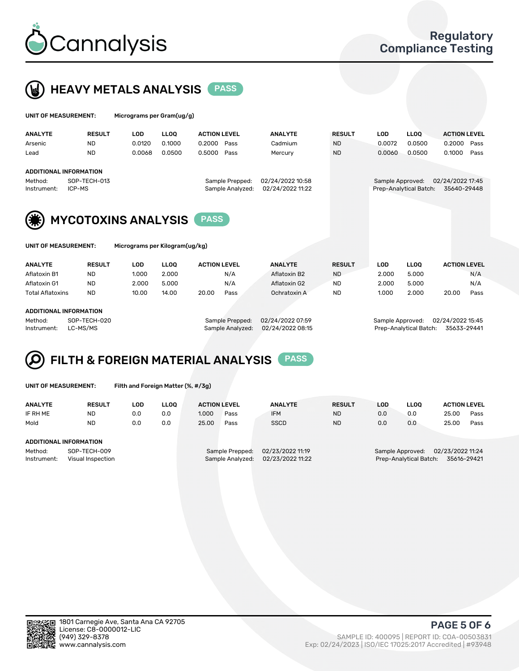



| UNIT OF MEASUREMENT:   |                            |            | Micrograms per Gram(ug/g) |                                     |                                      |               |                  |                        |                                 |      |  |
|------------------------|----------------------------|------------|---------------------------|-------------------------------------|--------------------------------------|---------------|------------------|------------------------|---------------------------------|------|--|
| <b>ANALYTE</b>         | <b>RESULT</b>              | <b>LOD</b> | <b>LLOO</b>               | <b>ACTION LEVEL</b>                 | <b>ANALYTE</b>                       | <b>RESULT</b> | <b>LOD</b>       | <b>LLOO</b>            | <b>ACTION LEVEL</b>             |      |  |
| Arsenic                | <b>ND</b>                  | 0.0120     | 0.1000                    | 0.2000<br>Pass                      | Cadmium                              | <b>ND</b>     | 0.0072           | 0.0500                 | 0.2000                          | Pass |  |
| Lead                   | <b>ND</b>                  | 0.0068     | 0.0500                    | 0.5000<br>Pass                      | Mercury                              | <b>ND</b>     | 0.0060           | 0.0500                 | 0.1000                          | Pass |  |
|                        | ADDITIONAL INFORMATION     |            |                           |                                     |                                      |               |                  |                        |                                 |      |  |
| Method:<br>Instrument: | SOP-TECH-013<br>ICP-MS     |            |                           | Sample Prepped:<br>Sample Analyzed: | 02/24/2022 10:58<br>02/24/2022 11:22 |               | Sample Approved: | Prep-Analytical Batch: | 02/24/2022 17:45<br>35640-29448 |      |  |
| (楽)                    | <b>MYCOTOXINS ANALYSIS</b> |            |                           | <b>PASS</b>                         |                                      |               |                  |                        |                                 |      |  |



UNIT OF MEASUREMENT: Micrograms per Kilogram(ug/kg)

| <b>ANALYTE</b>               | <b>RESULT</b> | LOD   | <b>LLOO</b> | <b>ACTION LEVEL</b> |      | <b>ANALYTE</b> | <b>RESULT</b> | LOD   | <b>LLOO</b> | <b>ACTION LEVEL</b> |      |
|------------------------------|---------------|-------|-------------|---------------------|------|----------------|---------------|-------|-------------|---------------------|------|
| Aflatoxin B1                 | <b>ND</b>     | 1.000 | 2.000       |                     | N/A  | Aflatoxin B2   | <b>ND</b>     | 2.000 | 5.000       |                     | N/A  |
| Aflatoxin G1                 | <b>ND</b>     | 2.000 | 5.000       |                     | N/A  | Aflatoxin G2   | <b>ND</b>     | 2.000 | 5.000       |                     | N/A  |
| <b>Total Aflatoxins</b>      | <b>ND</b>     | 10.00 | 14.00       | 20.00               | Pass | Ochratoxin A   | <b>ND</b>     | 1.000 | 2.000       | 20.00               | Pass |
|                              |               |       |             |                     |      |                |               |       |             |                     |      |
| 1.5.517101111111705111771011 |               |       |             |                     |      |                |               |       |             |                     |      |

#### ADDITIONAL INFORMATION

Method: SOP-TECH-020 Sample Prepped: 02/24/2022 07:59 Sample Approved: 02/24/2022 15:45 Instrument: LC-MS/MS Sample Analyzed: 02/24/2022 08:15 Prep-Analytical Batch: 35633-29441

# FILTH & FOREIGN MATERIAL ANALYSIS PASS

UNIT OF MEASUREMENT: Filth and Foreign Matter (%, #/3g)

| <b>ANALYTE</b>                                              | <b>RESULT</b> | LOD | <b>LLOO</b> | <b>ACTION LEVEL</b>                 |      | <b>ANALYTE</b>                       | <b>RESULT</b> | LOD                                                                     | LLOO | <b>ACTION LEVEL</b> |      |
|-------------------------------------------------------------|---------------|-----|-------------|-------------------------------------|------|--------------------------------------|---------------|-------------------------------------------------------------------------|------|---------------------|------|
| IF RH ME                                                    | <b>ND</b>     | 0.0 | 0.0         | 1.000                               | Pass | <b>IFM</b>                           | <b>ND</b>     | 0.0                                                                     | 0.0  | 25.00               | Pass |
| Mold                                                        | <b>ND</b>     | 0.0 | 0.0         | 25.00                               | Pass | <b>SSCD</b>                          | <b>ND</b>     | 0.0                                                                     | 0.0  | 25.00               | Pass |
| <b>ADDITIONAL INFORMATION</b>                               |               |     |             |                                     |      |                                      |               |                                                                         |      |                     |      |
| Method:<br>SOP-TECH-009<br>Instrument:<br>Visual Inspection |               |     |             | Sample Prepped:<br>Sample Analyzed: |      | 02/23/2022 11:19<br>02/23/2022 11:22 |               | Sample Approved: 02/23/2022 11:24<br>Prep-Analytical Batch: 35616-29421 |      |                     |      |